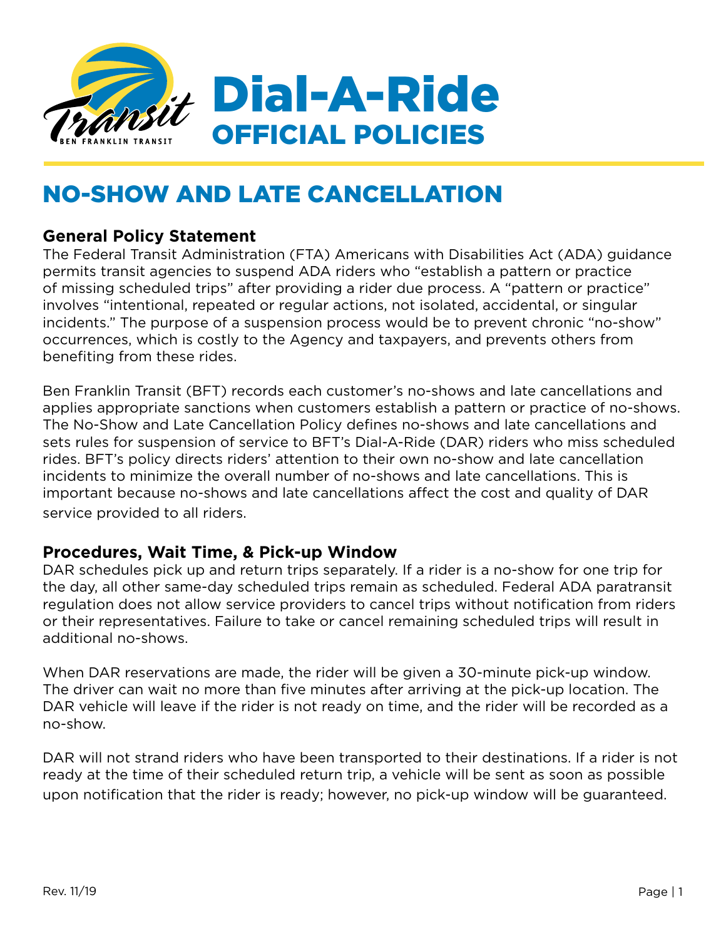

# NO-SHOW AND LATE CANCELLATION

## **General Policy Statement**

The Federal Transit Administration (FTA) Americans with Disabilities Act (ADA) guidance permits transit agencies to suspend ADA riders who "establish a pattern or practice of missing scheduled trips" after providing a rider due process. A "pattern or practice" involves "intentional, repeated or regular actions, not isolated, accidental, or singular incidents." The purpose of a suspension process would be to prevent chronic "no-show" occurrences, which is costly to the Agency and taxpayers, and prevents others from benefiting from these rides.

Ben Franklin Transit (BFT) records each customer's no-shows and late cancellations and applies appropriate sanctions when customers establish a pattern or practice of no-shows. The No-Show and Late Cancellation Policy defines no-shows and late cancellations and sets rules for suspension of service to BFT's Dial-A-Ride (DAR) riders who miss scheduled rides. BFT's policy directs riders' attention to their own no-show and late cancellation incidents to minimize the overall number of no-shows and late cancellations. This is important because no-shows and late cancellations affect the cost and quality of DAR service provided to all riders.

## **Procedures, Wait Time, & Pick-up Window**

DAR schedules pick up and return trips separately. If a rider is a no-show for one trip for the day, all other same-day scheduled trips remain as scheduled. Federal ADA paratransit regulation does not allow service providers to cancel trips without notification from riders or their representatives. Failure to take or cancel remaining scheduled trips will result in additional no-shows.

When DAR reservations are made, the rider will be given a 30-minute pick-up window. The driver can wait no more than five minutes after arriving at the pick-up location. The DAR vehicle will leave if the rider is not ready on time, and the rider will be recorded as a no-show.

DAR will not strand riders who have been transported to their destinations. If a rider is not ready at the time of their scheduled return trip, a vehicle will be sent as soon as possible upon notification that the rider is ready; however, no pick-up window will be guaranteed.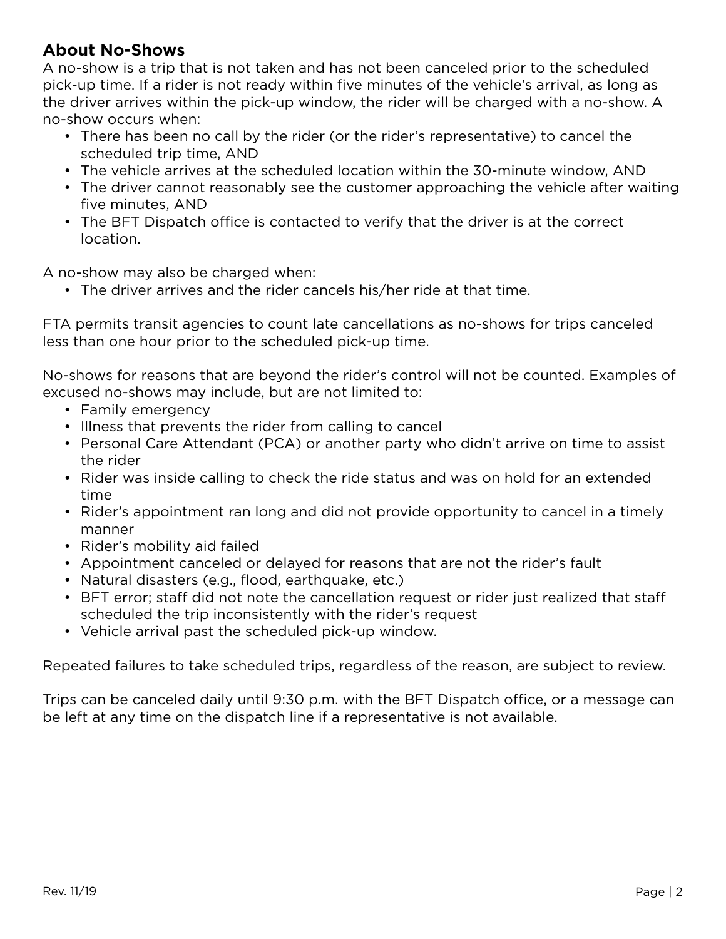## **About No-Shows**

A no-show is a trip that is not taken and has not been canceled prior to the scheduled pick-up time. If a rider is not ready within five minutes of the vehicle's arrival, as long as the driver arrives within the pick-up window, the rider will be charged with a no-show. A no-show occurs when:

- There has been no call by the rider (or the rider's representative) to cancel the scheduled trip time, AND
- The vehicle arrives at the scheduled location within the 30-minute window, AND
- The driver cannot reasonably see the customer approaching the vehicle after waiting five minutes, AND
- The BFT Dispatch office is contacted to verify that the driver is at the correct location.

A no-show may also be charged when:

• The driver arrives and the rider cancels his/her ride at that time.

FTA permits transit agencies to count late cancellations as no-shows for trips canceled less than one hour prior to the scheduled pick-up time.

No-shows for reasons that are beyond the rider's control will not be counted. Examples of excused no-shows may include, but are not limited to:

- Family emergency
- Illness that prevents the rider from calling to cancel
- Personal Care Attendant (PCA) or another party who didn't arrive on time to assist the rider
- Rider was inside calling to check the ride status and was on hold for an extended time
- Rider's appointment ran long and did not provide opportunity to cancel in a timely manner
- Rider's mobility aid failed
- Appointment canceled or delayed for reasons that are not the rider's fault
- Natural disasters (e.g., flood, earthquake, etc.)
- BFT error; staff did not note the cancellation request or rider just realized that staff scheduled the trip inconsistently with the rider's request
- Vehicle arrival past the scheduled pick-up window.

Repeated failures to take scheduled trips, regardless of the reason, are subject to review.

Trips can be canceled daily until 9:30 p.m. with the BFT Dispatch office, or a message can be left at any time on the dispatch line if a representative is not available.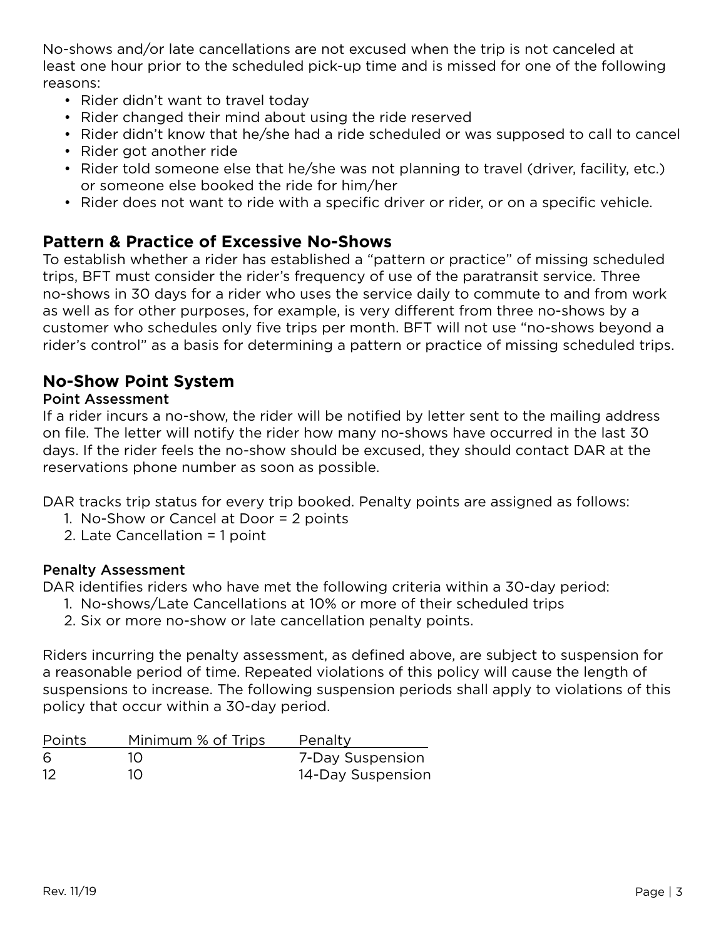No-shows and/or late cancellations are not excused when the trip is not canceled at least one hour prior to the scheduled pick-up time and is missed for one of the following reasons:

- Rider didn't want to travel today
- Rider changed their mind about using the ride reserved
- Rider didn't know that he/she had a ride scheduled or was supposed to call to cancel
- Rider got another ride
- Rider told someone else that he/she was not planning to travel (driver, facility, etc.) or someone else booked the ride for him/her
- Rider does not want to ride with a specific driver or rider, or on a specific vehicle.

# **Pattern & Practice of Excessive No-Shows**

To establish whether a rider has established a "pattern or practice" of missing scheduled trips, BFT must consider the rider's frequency of use of the paratransit service. Three no-shows in 30 days for a rider who uses the service daily to commute to and from work as well as for other purposes, for example, is very different from three no-shows by a customer who schedules only five trips per month. BFT will not use "no-shows beyond a rider's control" as a basis for determining a pattern or practice of missing scheduled trips.

# **No-Show Point System**

#### Point Assessment

If a rider incurs a no-show, the rider will be notified by letter sent to the mailing address on file. The letter will notify the rider how many no-shows have occurred in the last 30 days. If the rider feels the no-show should be excused, they should contact DAR at the reservations phone number as soon as possible.

DAR tracks trip status for every trip booked. Penalty points are assigned as follows:

- 1. No-Show or Cancel at Door = 2 points
- 2. Late Cancellation = 1 point

#### Penalty Assessment

DAR identifies riders who have met the following criteria within a 30-day period:

- 1. No-shows/Late Cancellations at 10% or more of their scheduled trips
- 2. Six or more no-show or late cancellation penalty points.

Riders incurring the penalty assessment, as defined above, are subject to suspension for a reasonable period of time. Repeated violations of this policy will cause the length of suspensions to increase. The following suspension periods shall apply to violations of this policy that occur within a 30-day period.

| Points | Minimum % of Trips | Penalty           |
|--------|--------------------|-------------------|
| -6     | $1\Omega$          | 7-Day Suspension  |
| -12    | 1O.                | 14-Day Suspension |